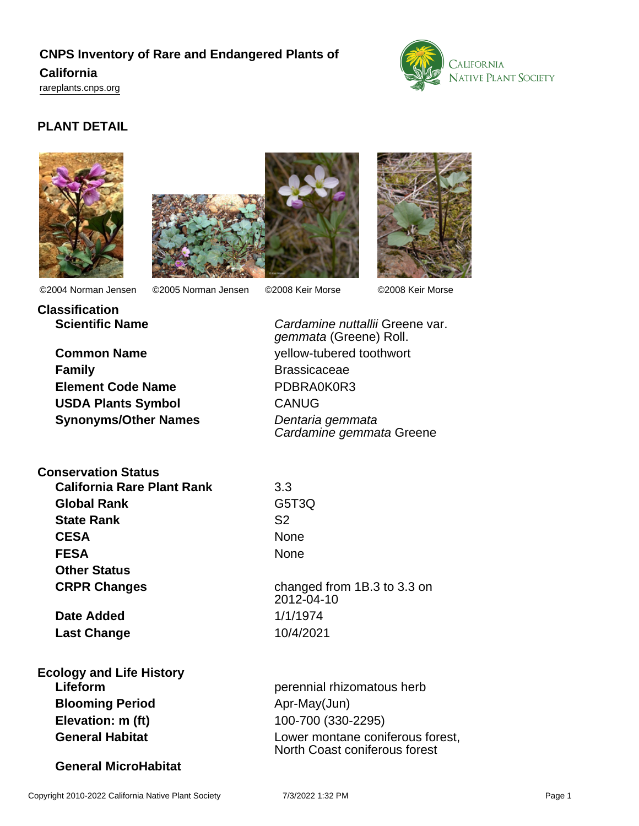# **CNPS Inventory of Rare and Endangered Plants of California**

<rareplants.cnps.org>



# **PLANT DETAIL**







**Classification**

©2004 Norman Jensen ©2005 Norman Jensen ©2008 Keir Morse ©2008 Keir Morse

**Common Name** yellow-tubered toothwort **Family** Brassicaceae **Element Code Name** PDBRA0K0R3 **USDA Plants Symbol** CANUG

**Conservation Status**

**California Rare Plant Rank** 3.3 **Global Rank** G5T3Q **State Rank** S2 CESA None **FESA** None **Other Status CRPR Changes** changed from 1B.3 to 3.3 on

**Date Added** 1/1/1974 **Last Change** 10/4/2021

**Ecology and Life History Blooming Period** Apr-May(Jun) **Elevation: m (ft)** 100-700 (330-2295)

### **General MicroHabitat**

**Scientific Name Cardamine nuttallii Greene var.** gemmata (Greene) Roll. **Synonyms/Other Names** Dentaria gemmata Cardamine gemmata Greene

2012-04-10

**Lifeform perennial rhizomatous herb perennial rhizomatous herb General Habitat Lower montane coniferous forest,** North Coast coniferous forest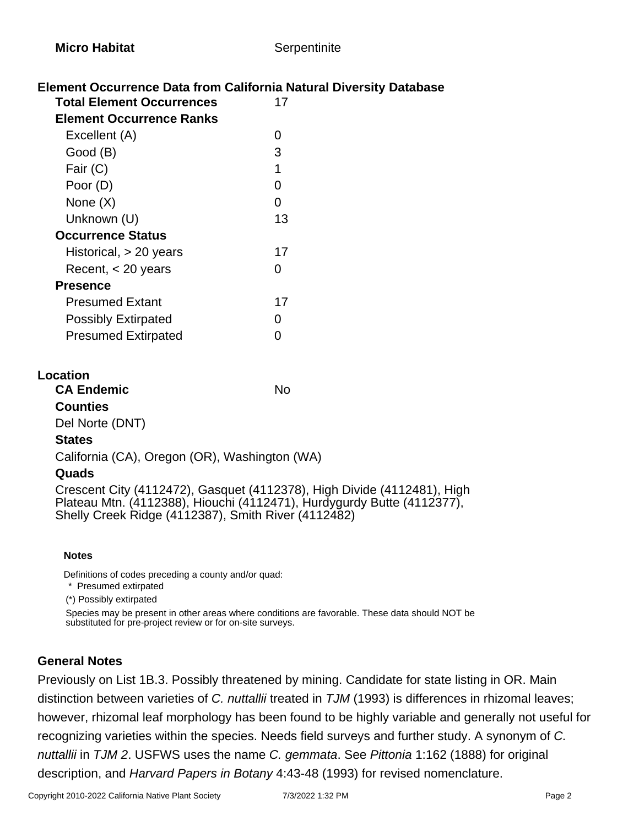# **Element Occurrence Data from California Natural Diversity Database**

| <b>Total Element Occurrences</b> |    |
|----------------------------------|----|
| <b>Element Occurrence Ranks</b>  |    |
| Excellent (A)                    | ი  |
| Good (B)                         | 3  |
| Fair (C)                         | 1  |
| Poor (D)                         | O  |
| None (X)                         | O  |
| Unknown (U)                      | 13 |
| <b>Occurrence Status</b>         |    |
| Historical, $> 20$ years         | 17 |
| Recent, $<$ 20 years             | n  |
| Presence                         |    |
| <b>Presumed Extant</b>           | 17 |
| <b>Possibly Extirpated</b>       | O  |
| <b>Presumed Extirpated</b>       |    |
|                                  |    |

#### **Location**

**CA Endemic** No **Counties** Del Norte (DNT)

#### **States**

California (CA), Oregon (OR), Washington (WA)

#### **Quads**

Crescent City (4112472), Gasquet (4112378), High Divide (4112481), High Plateau Mtn. (4112388), Hiouchi (4112471), Hurdygurdy Butte (4112377), Shelly Creek Ridge (4112387), Smith River (4112482)

#### **Notes**

Definitions of codes preceding a county and/or quad:

 \* Presumed extirpated (\*) Possibly extirpated

Species may be present in other areas where conditions are favorable. These data should NOT be

### substituted for pre-project review or for on-site surveys.

# **General Notes**

Previously on List 1B.3. Possibly threatened by mining. Candidate for state listing in OR. Main distinction between varieties of C. nuttallii treated in  $TJM$  (1993) is differences in rhizomal leaves; however, rhizomal leaf morphology has been found to be highly variable and generally not useful for recognizing varieties within the species. Needs field surveys and further study. A synonym of C. nuttallii in TJM 2. USFWS uses the name C. gemmata. See Pittonia 1:162 (1888) for original description, and Harvard Papers in Botany 4:43-48 (1993) for revised nomenclature.